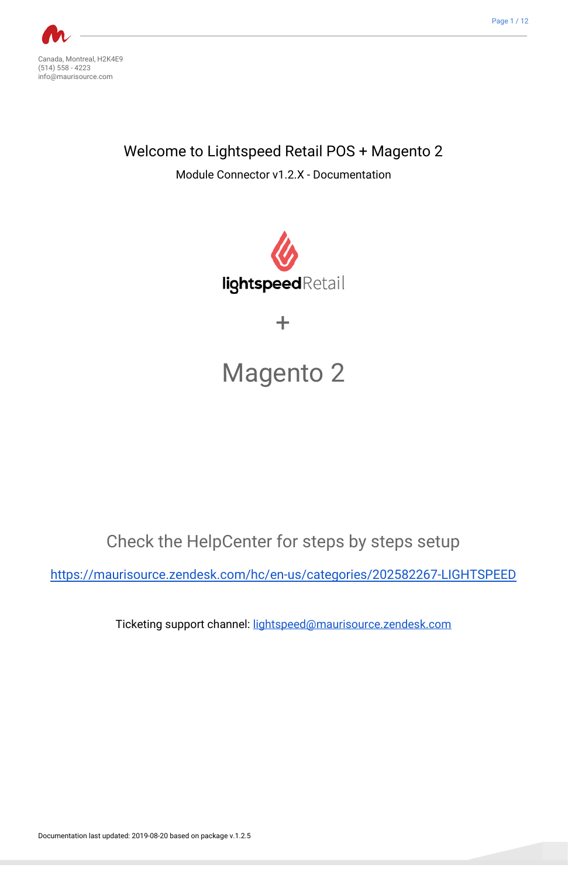

<span id="page-0-0"></span>Canada, Montreal, H2K4E9 (514) 558 - 4223 info@maurisource.com

<span id="page-0-1"></span>Welcome to Lightspeed Retail POS + Magento 2

Module Connector v1.2.X - Documentation



# + Magento 2

Check the HelpCenter for steps by steps setup

<span id="page-0-2"></span><https://maurisource.zendesk.com/hc/en-us/categories/202582267-LIGHTSPEED>

Ticketing support channel: [lightspeed@maurisource.zendesk.com](mailto:lightspeed@maurisource.zendesk.com)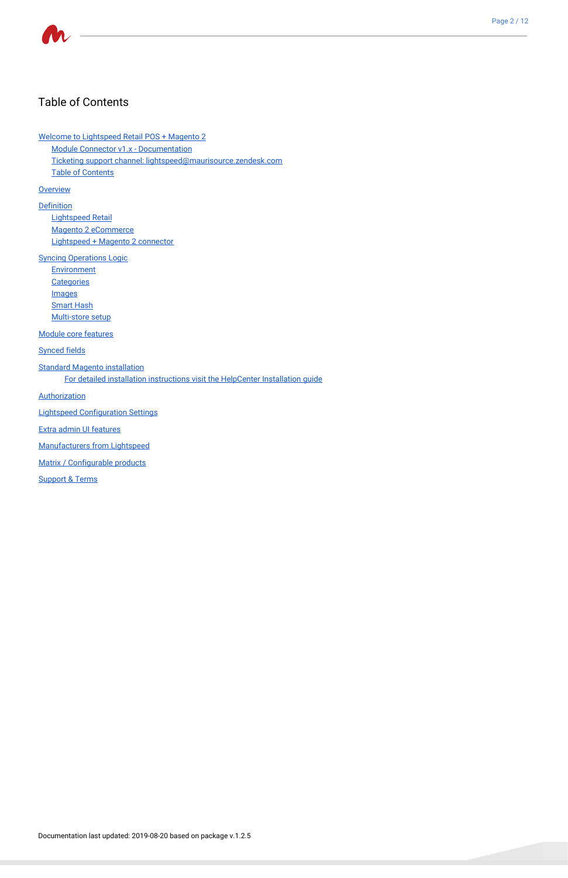

### <span id="page-1-0"></span>Table of Contents

Welcome to [Lightspeed](#page-0-0) Retail POS + Magento 2

Module Connector v1.x - [Documentation](#page-0-1)

Ticketing support channel: [lightspeed@maurisource.zendesk.com](#page-0-2)

Table of [Contents](#page-1-0)

**[Overview](#page-2-0)** 

[Definition](#page-2-1)

[Lightspeed](#page-2-2) Retail Magento 2 [eCommerce](#page-2-3) [Lightspeed](#page-2-4) + Magento 2 connector

Syncing [Operations](#page-2-5) Logic

**[Environment](#page-3-0)** 

**[Categories](#page-3-1)** 

[Images](#page-3-2)

**[Smart](#page-3-3) Hash** 

[Multi-store](#page-3-4) setup

Module core [features](#page-3-5)

[Synced](#page-4-0) fields

Standard Magento [installation](#page-5-0)

For detailed installation [instructions](#page-5-1) visit the HelpCenter Installation guide

**[Authorization](#page-5-2)** 

Lightspeed [Configuration](#page-6-0) Settings

Extra admin UI features

Manufacturers from Lightspeed

Matrix / [Configurable](#page-10-0) products

[Support](#page-10-1) & Terms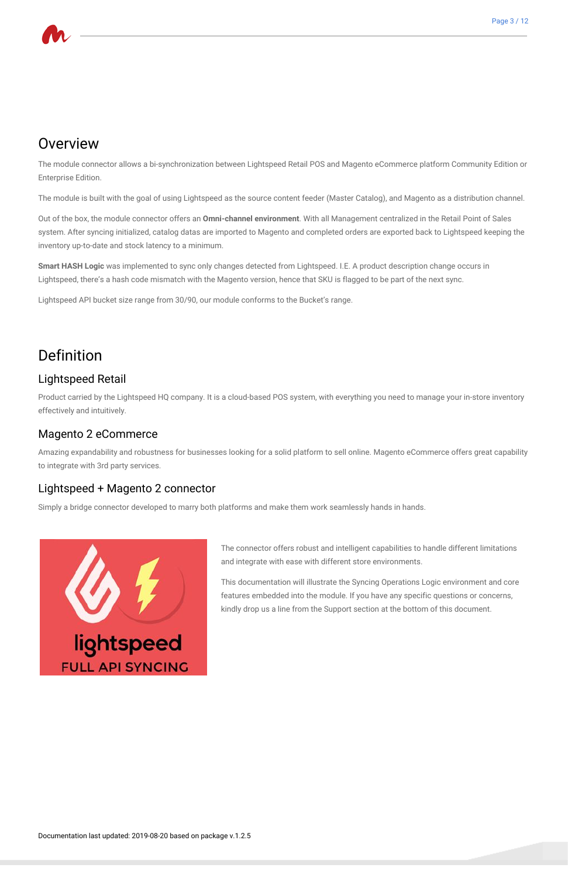

## <span id="page-2-0"></span>**Overview**

The module connector allows a bi-synchronization between Lightspeed Retail POS and Magento eCommerce platform Community Edition or Enterprise Edition.

The module is built with the goal of using Lightspeed as the source content feeder (Master Catalog), and Magento as a distribution channel.

Out of the box, the module connector offers an **Omni-channel environment**. With all Management centralized in the Retail Point of Sales system. After syncing initialized, catalog datas are imported to Magento and completed orders are exported back to Lightspeed keeping the inventory up-to-date and stock latency to a minimum.

**Smart HASH Logic** was implemented to sync only changes detected from Lightspeed. I.E. A product description change occurs in Lightspeed, there's a hash code mismatch with the Magento version, hence that SKU is flagged to be part of the next sync.

Lightspeed API bucket size range from 30/90, our module conforms to the Bucket's range.

# <span id="page-2-1"></span>Definition

### <span id="page-2-2"></span>Lightspeed Retail

Product carried by the Lightspeed HQ company. It is a cloud-based POS system, with everything you need to manage your in-store inventory effectively and intuitively.

### <span id="page-2-3"></span>Magento 2 eCommerce

Amazing expandability and robustness for businesses looking for a solid platform to sell online. Magento eCommerce offers great capability to integrate with 3rd party services.

### <span id="page-2-4"></span>Lightspeed + Magento 2 connector

Simply a bridge connector developed to marry both platforms and make them work seamlessly hands in hands.



The connector offers robust and intelligent capabilities to handle different limitations and integrate with ease with different store environments.

This documentation will illustrate the Syncing Operations Logic environment and core features embedded into the module. If you have any specific questions or concerns, kindly drop us a line from the Support section at the bottom of this document.

# <span id="page-2-5"></span>**FULL API SYNCING**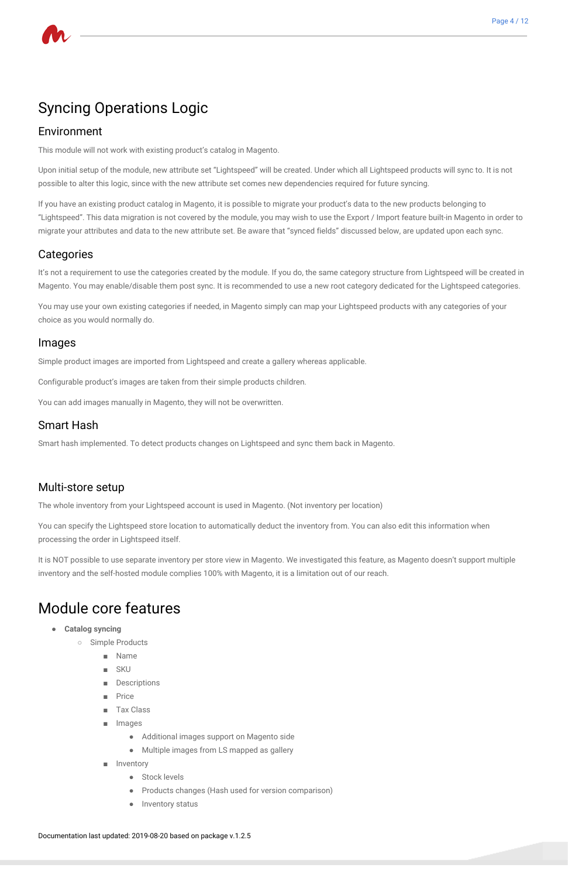# Syncing Operations Logic

#### <span id="page-3-0"></span>Environment

This module will not work with existing product's catalog in Magento.

Upon initial setup of the module, new attribute set "Lightspeed" will be created. Under which all Lightspeed products will sync to. It is not possible to alter this logic, since with the new attribute set comes new dependencies required for future syncing.

If you have an existing product catalog in Magento, it is possible to migrate your product's data to the new products belonging to "Lightspeed". This data migration is not covered by the module, you may wish to use the Export / Import feature built-in Magento in order to migrate your attributes and data to the new attribute set. Be aware that "synced fields" discussed below, are updated upon each sync.

#### <span id="page-3-1"></span>**Categories**

It's not a requirement to use the categories created by the module. If you do, the same category structure from Lightspeed will be created in Magento. You may enable/disable them post sync. It is recommended to use a new root category dedicated for the Lightspeed categories.

You may use your own existing categories if needed, in Magento simply can map your Lightspeed products with any categories of your choice as you would normally do.

### <span id="page-3-2"></span>Images

Simple product images are imported from Lightspeed and create a gallery whereas applicable.

Configurable product's images are taken from their simple products children.

You can add images manually in Magento, they will not be overwritten.

### <span id="page-3-3"></span>Smart Hash

Smart hash implemented. To detect products changes on Lightspeed and sync them back in Magento.

### <span id="page-3-4"></span>Multi-store setup

The whole inventory from your Lightspeed account is used in Magento. (Not inventory per location)

You can specify the Lightspeed store location to automatically deduct the inventory from. You can also edit this information when processing the order in Lightspeed itself.

It is NOT possible to use separate inventory per store view in Magento. We investigated this feature, as Magento doesn't support multiple inventory and the self-hosted module complies 100% with Magento, it is a limitation out of our reach.

# <span id="page-3-5"></span>Module core features

- **● Catalog syncing**
	- Simple Products

- Name
- **SKU**
- Descriptions
- **Price**
- **Tax Class**
- Images
	- Additional images support on Magento side
	- Multiple images from LS mapped as gallery
- Inventory
	- Stock levels
	- Products changes (Hash used for version comparison)
	- Inventory status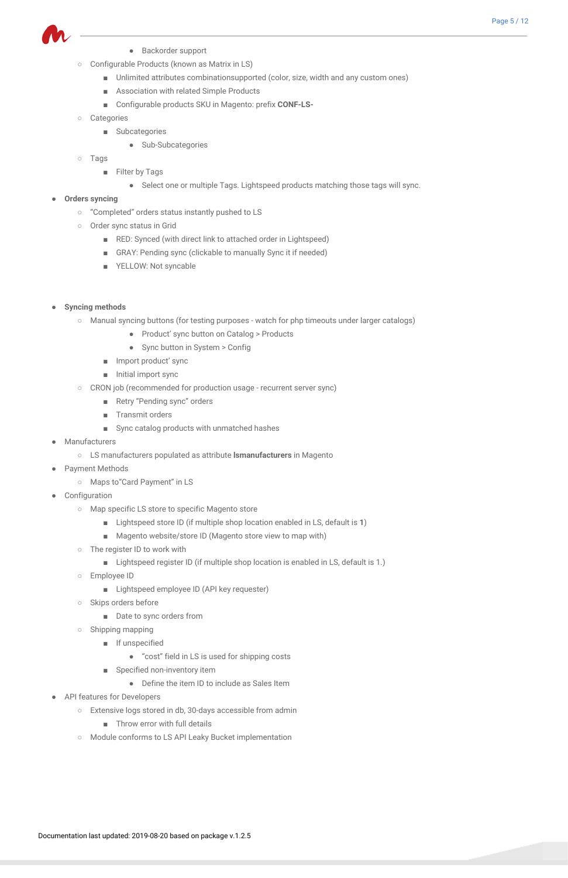

- Backorder support
- Configurable Products (known as Matrix in LS)
	- Unlimited attributes combinationsupported (color, size, width and any custom ones)
	- Association with related Simple Products
	- Configurable products SKU in Magento: prefix **CONF-LS-**
- Categories
	- Subcategories
		- Sub-Subcategories
- Tags
	- Filter by Tags
		- Select one or multiple Tags. Lightspeed products matching those tags will sync.
- **● Orders syncing**
	- "Completed" orders status instantly pushed to LS
	- Order sync status in Grid
		- RED: Synced (with direct link to attached order in Lightspeed)
		- GRAY: Pending sync (clickable to manually Sync it if needed)
		- YELLOW: Not syncable
- **● Syncing methods**
	- Manual syncing buttons (for testing purposes watch for php timeouts under larger catalogs)
		- Product' sync button on Catalog > Products
		- Sync button in System > Config
		- Import product' sync
		- Initial import sync
	- CRON job (recommended for production usage recurrent server sync)
		- Retry "Pending sync" orders
		- Transmit orders
		- Sync catalog products with unmatched hashes
- Manufacturers
	- LS manufacturers populated as attribute **lsmanufacturers** in Magento
- **Payment Methods** 
	- Maps to"Card Payment" in LS
- Configuration
	- Map specific LS store to specific Magento store
		- Lightspeed store ID (if multiple shop location enabled in LS, default is **1**)
		- Magento website/store ID (Magento store view to map with)
	- The register ID to work with
		- Lightspeed register ID (if multiple shop location is enabled in LS, default is 1.)
	- Employee ID
		- Lightspeed employee ID (API key requester)
	- Skips orders before
		- Date to sync orders from
	- Shipping mapping
		- If unspecified
		- - "cost" field in LS is used for shipping costs
		- Specified non-inventory item
			- Define the item ID to include as Sales Item
- <span id="page-4-0"></span>● API features for Developers
	- Extensive logs stored in db, 30-days accessible from admin
		- Throw error with full details
	- Module conforms to LS API Leaky Bucket implementation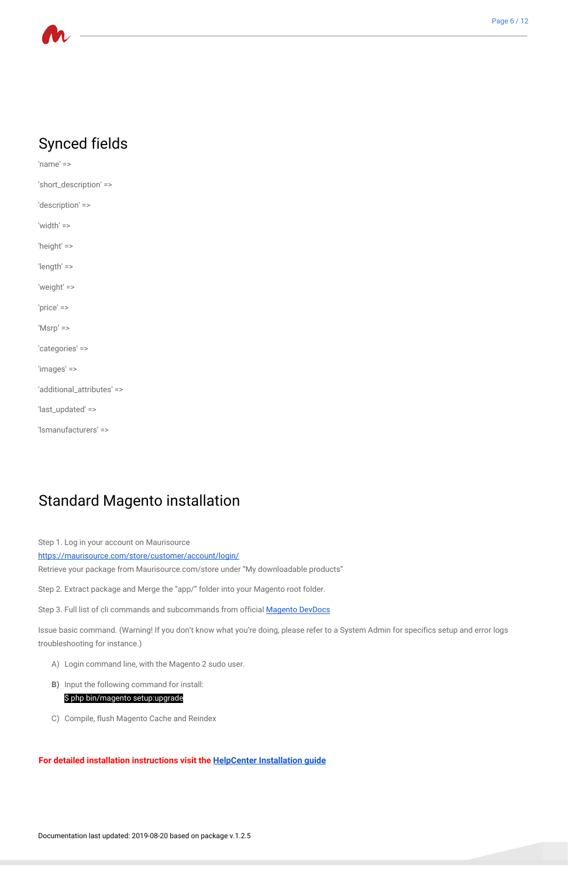

# Synced fields

'name' => 'short\_description' => 'description' => 'width' => 'height' => 'length' => 'weight' => 'price' => 'Msrp' => 'categories' => 'images' => 'additional\_attributes' => 'last\_updated' => 'lsmanufacturers' =>

# <span id="page-5-0"></span>Standard Magento installation

Step 1. Log in your account on Maurisource

<https://maurisource.com/store/customer/account/login/>

Retrieve your package from Maurisource.com/store under "My downloadable products"

Step 2. Extract package and Merge the "app/" folder into your Magento root folder.

Step 3. Full list of cli commands and subcommands from official **[Magento](http://devdocs.magento.com/guides/v2.0/install-gde/install/cli/install-cli-subcommands.html) DevDocs** 

Issue basic command. (Warning! If you don't know what you're doing, please refer to a System Admin for specifics setup and error logs troubleshooting for instance.)

- A) Login command line, with the Magento 2 sudo user.
- **B)** Input the following command for install:

\$ php bin/magento setup:upgrade

C) Compile, flush Magento Cache and Reindex

<span id="page-5-2"></span><span id="page-5-1"></span>**For detailed installation instructions visit the [HelpCenter Installation guide](https://maurisource.zendesk.com/hc/en-us/articles/115000568294--1-Installation-guide)**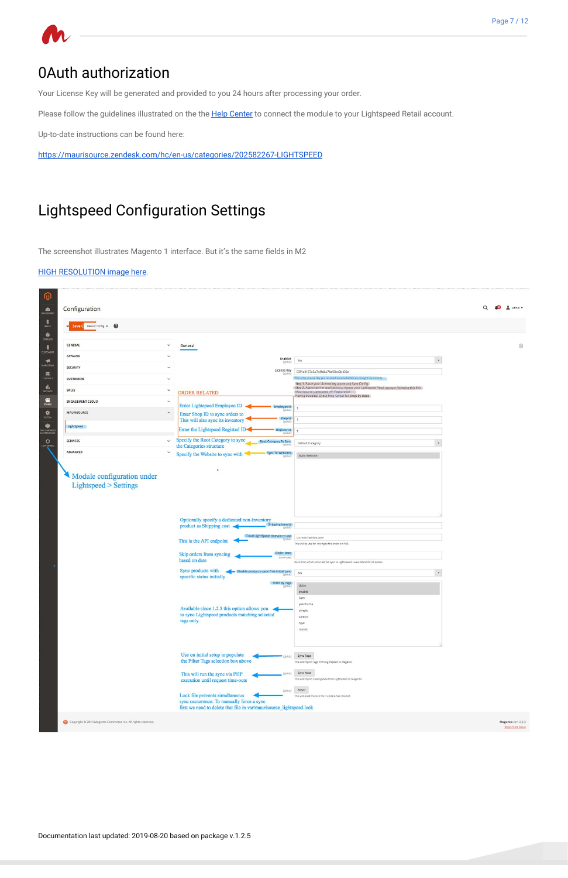# 0Auth authorization

Your License Key will be generated and provided to you 24 hours after processing your order.

Please follow the guidelines illustrated on the the **Help [Center](https://maurisource.zendesk.com/hc/en-us/articles/114094058034)** to connect the module to your Lightspeed Retail account.

Up-to-date instructions can be found here:

<https://maurisource.zendesk.com/hc/en-us/categories/202582267-LIGHTSPEED>

# <span id="page-6-0"></span>Lightspeed Configuration Settings

The screenshot illustrates Magento 1 interface. But it's the same fields in M2

#### HIGH [RESOLUTION](https://maurisource.zendesk.com/hc/en-us/article_attachments/360044176574/Configuration___Settings___Stores___Magento_Admin_1_.png) image here.

| Configuration                                       |                                                                                                                             |                                                                                                                                                                                                     | $\frac{1}{2}$ admin $\sim$<br>$\Omega$ |
|-----------------------------------------------------|-----------------------------------------------------------------------------------------------------------------------------|-----------------------------------------------------------------------------------------------------------------------------------------------------------------------------------------------------|----------------------------------------|
| St Save C Default Config - @                        |                                                                                                                             |                                                                                                                                                                                                     |                                        |
|                                                     |                                                                                                                             |                                                                                                                                                                                                     |                                        |
| <b>GENERAL</b>                                      | $\check{~}$<br>General                                                                                                      |                                                                                                                                                                                                     | $\odot$                                |
| CATALOG                                             | $\checkmark$<br>Enabled<br>(global)                                                                                         | $\overline{\phantom{a}}$<br>Yes                                                                                                                                                                     |                                        |
| <b>SECURITY</b>                                     | $\checkmark$<br>License Key<br>[global]                                                                                     | 03f1e4167e3a7a4fd6a7bb90ec0b436e                                                                                                                                                                    |                                        |
| <b>CUSTOMERS</b>                                    | $\checkmark$                                                                                                                | This is the License Key you received via email when you bought the module.<br>Step 1. Paste your License key above and Save Config.                                                                 |                                        |
| <b>SALES</b>                                        | $\checkmark$<br><b>ORDER RELATED</b>                                                                                        | Step 2. Authorize the application to Access your Lightspeed Retail account following this link.<br>Maurisource Lightspeed API Registration<br>Having troubles? Check Help Center for steps by steps |                                        |
| <b>ENGAGEMENT CLOUD</b>                             | $\check{~}$<br><b>Enter Lightspeed Employee ID</b><br>Employee Id                                                           |                                                                                                                                                                                                     |                                        |
| <b>MAURISOURCE</b>                                  | $\hat{}$<br>Enter Shop ID to sync orders to                                                                                 |                                                                                                                                                                                                     |                                        |
| LightSpeed                                          | Shop Id<br>This will also sync its inventory<br>Eglobal                                                                     |                                                                                                                                                                                                     |                                        |
|                                                     | Enter the Lightspeed Registed ID<br>Register Id<br>globa                                                                    |                                                                                                                                                                                                     |                                        |
| <b>SERVICES</b>                                     | Specify the Root Category to sync<br>$\checkmark$<br>Root Category To Sync<br>the Categories structure                      | Default Category                                                                                                                                                                                    |                                        |
| ADVANCED                                            | $\check{~}$<br><b>Sync To Websites</b><br>Specify the Website to sync with                                                  | Main Website                                                                                                                                                                                        |                                        |
| Module configuration under<br>Lightspeed > Settings |                                                                                                                             |                                                                                                                                                                                                     |                                        |
|                                                     | Optionally specify a dedicated non-inventory<br>Shipping Item Id<br>product as Shipping cost                                |                                                                                                                                                                                                     |                                        |
|                                                     | Cloud LightSpeed domain to use                                                                                              | us.merchantos.com                                                                                                                                                                                   |                                        |
|                                                     | This is the API endpoint                                                                                                    | This will be use for linking to the order on POS                                                                                                                                                    |                                        |
|                                                     | Order Date<br>Skip orders from syncing<br>based on date                                                                     | Date from which order will be sync to Lightspeed. Leave Blank for all orders                                                                                                                        |                                        |
|                                                     | Sync products with<br>Disable products upon first initial sync<br>specific status initially                                 | Yes<br>$_{\rm v}$                                                                                                                                                                                   |                                        |
|                                                     | Filter By Tags<br>[global]                                                                                                  | dodo                                                                                                                                                                                                |                                        |
|                                                     | Available since 1.2.5 this option allows you $\triangleleft$<br>to sync Lightspeed products matching selected<br>tags only. | enable<br><b>3attr</b><br>yokohama<br>simple<br>sandra<br>new<br>matrix                                                                                                                             |                                        |
|                                                     |                                                                                                                             |                                                                                                                                                                                                     |                                        |

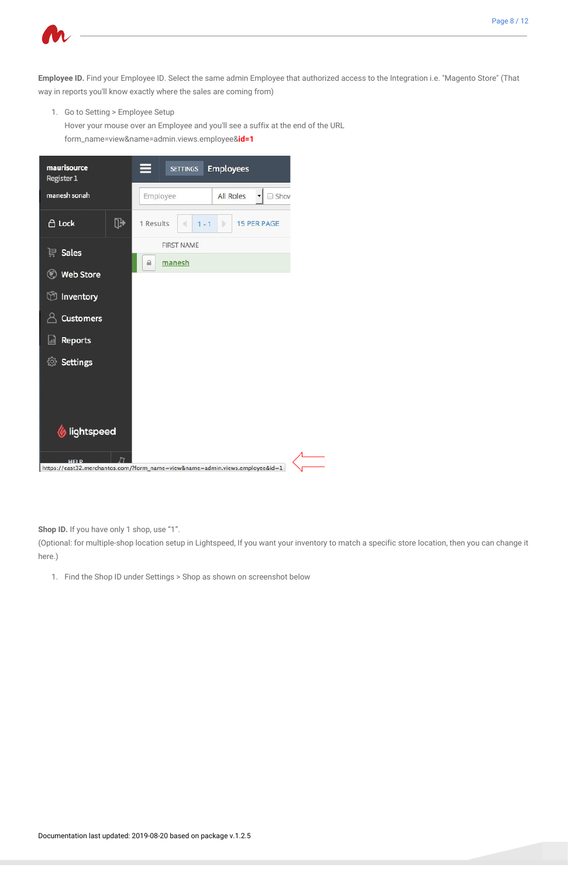

**Employee ID.** Find your Employee ID. Select the same admin Employee that authorized access to the Integration i.e. "Magento Store" (That way in reports you'll know exactly where the sales are coming from)

1. Go to Setting > Employee Setup

Hover your mouse over an Employee and you'll see a suffix at the end of the URL

form\_name=view&name=admin.views.employee&**id=1**



**Shop ID.** If you have only 1 shop, use "1".

(Optional: for multiple-shop location setup in Lightspeed, If you want your inventory to match a specific store location, then you can change it here.)

1. Find the Shop ID under Settings > Shop as shown on screenshot below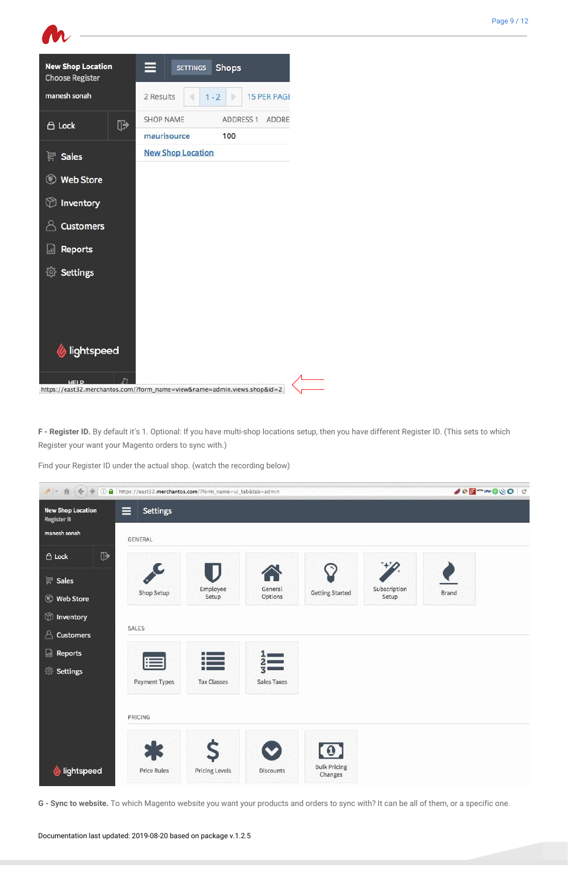

**F - Register ID.** By default it's 1. Optional: If you have multi-shop locations setup, then you have different Register ID. (This sets to which Register your want your Magento orders to sync with.)

Find your Register ID under the actual shop. (watch the recording below)

| $f$ + $\hat{\pi}$<br>$387$ mpp $800C$<br>← → © ● https://east32.merchantos.com/?form_name=ui_tab&tab=admin |                      |          |         |                        |              |              |  |
|------------------------------------------------------------------------------------------------------------|----------------------|----------|---------|------------------------|--------------|--------------|--|
| <b>New Shop Location</b><br><b>Service Service</b><br><b>Register B</b>                                    | <b>Settings</b><br>⋿ |          |         |                        |              |              |  |
| manesh sonah                                                                                               | GENERAL              |          |         |                        |              |              |  |
| $\mathbb{P}$<br>$\bigoplus$ Lock                                                                           |                      |          |         |                        |              |              |  |
| $\mathbb{R}$ Sales                                                                                         |                      | Employee | General |                        | Subscription |              |  |
| <b>Web Store</b>                                                                                           | Shop Setup           | Setup    | Options | <b>Getting Started</b> | Setup        | <b>Brand</b> |  |
| <b><i>O</i></b> Inventory                                                                                  |                      |          |         |                        |              |              |  |
| $\triangle$ Customers                                                                                      | SALES                |          |         |                        |              |              |  |



**G - Sync to website.** To which Magento website you want your products and orders to sync with? It can be all of them, or a specific one.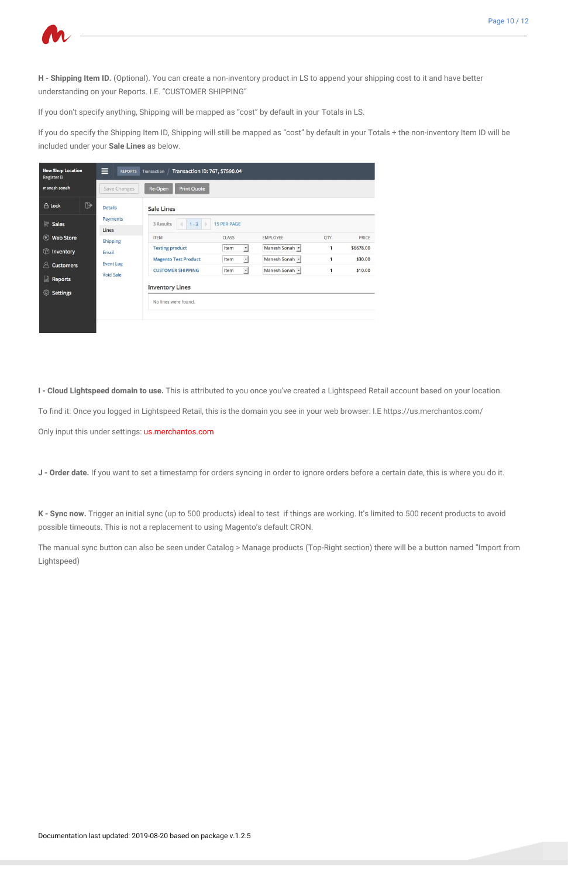

**H - Shipping Item ID.** (Optional). You can create a non-inventory product in LS to append your shipping cost to it and have better understanding on your Reports. I.E. "CUSTOMER SHIPPING"

If you don't specify anything, Shipping will be mapped as "cost" by default in your Totals in LS.

If you do specify the Shipping Item ID, Shipping will still be mapped as "cost" by default in your Totals + the non-inventory Item ID will be included under your **Sale Lines** as below.

| <b>New Shop Location</b><br><b>Register B</b> | ⊟<br><b>REPORTS</b> | Transaction ID: 767, \$7590.04<br>Transaction           |                                         |                                  |        |                    |  |  |
|-----------------------------------------------|---------------------|---------------------------------------------------------|-----------------------------------------|----------------------------------|--------|--------------------|--|--|
| manesh sonah                                  | Save Changes        | Re-Open<br><b>Print Quote</b>                           |                                         |                                  |        |                    |  |  |
| $\mathbb{P}$<br>A Lock                        | <b>Details</b>      | <b>Sale Lines</b>                                       |                                         |                                  |        |                    |  |  |
| $\mathbb{F}$ Sales                            | Payments<br>Lines   | ь<br>3 Results<br>$1 - 3$                               | <b>15 PER PAGE</b>                      |                                  |        |                    |  |  |
| $\circledast$<br><b>Web Store</b>             | <b>Shipping</b>     | <b>ITEM</b>                                             | <b>CLASS</b>                            | <b>EMPLOYEE</b>                  | QTY.   | PRICE              |  |  |
| $^{\circledR}$<br>Inventory                   | Email               | <b>Testing product</b>                                  | Item<br>$\cdot$                         | Manesh Sonah -                   | 1      | \$6678.00          |  |  |
| Α<br><b>Customers</b>                         | <b>Event Log</b>    | <b>Magento Test Product</b><br><b>CUSTOMER SHIPPING</b> | $\cdot$<br>Item<br>Item<br>$\mathbf{r}$ | Manesh Sonah -<br>Manesh Sonah - | 1<br>1 | \$30.00<br>\$10.00 |  |  |
| Reports<br>同                                  | Void Sale           | <b>Inventory Lines</b>                                  |                                         |                                  |        |                    |  |  |
| <b><i><b>Settings</b></i></b>                 |                     | No lines were found.                                    |                                         |                                  |        |                    |  |  |
|                                               |                     |                                                         |                                         |                                  |        |                    |  |  |

**I - Cloud Lightspeed domain to use.** This is attributed to you once you've created a Lightspeed Retail account based on your location.

To find it: Once you logged in Lightspeed Retail, this is the domain you see in your web browser: I.E https://us.merchantos.com/

Only input this under settings: us.merchantos.com

**J - Order date.** If you want to set a timestamp for orders syncing in order to ignore orders before a certain date, this is where you do it.

**K - Sync now.** Trigger an initial sync (up to 500 products) ideal to test if things are working. It's limited to 500 recent products to avoid possible timeouts. This is not a replacement to using Magento's default CRON.

The manual sync button can also be seen under Catalog > Manage products (Top-Right section) there will be a button named "Import from Lightspeed)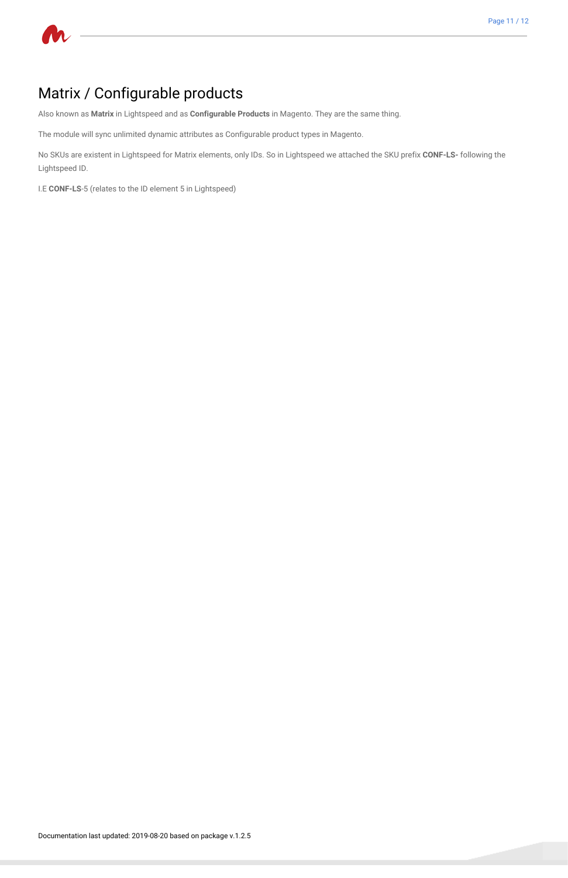

# <span id="page-10-0"></span>Matrix / Configurable products

Also known as **Matrix** in Lightspeed and as **Configurable Products** in Magento. They are the same thing.

The module will sync unlimited dynamic attributes as Configurable product types in Magento.

No SKUs are existent in Lightspeed for Matrix elements, only IDs. So in Lightspeed we attached the SKU prefix **CONF-LS-** following the Lightspeed ID.

<span id="page-10-1"></span>I.E **CONF-LS**-5 (relates to the ID element 5 in Lightspeed)